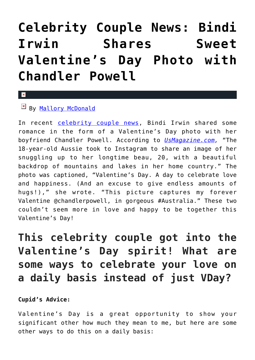## **[Celebrity Couple News: Bindi](https://cupidspulse.com/116866/celebrity-couple-news-bindi-irwin-valentines-day-photo-chandler-powell/) [Irwin Shares Sweet](https://cupidspulse.com/116866/celebrity-couple-news-bindi-irwin-valentines-day-photo-chandler-powell/) [Valentine's Day Photo with](https://cupidspulse.com/116866/celebrity-couple-news-bindi-irwin-valentines-day-photo-chandler-powell/) [Chandler Powell](https://cupidspulse.com/116866/celebrity-couple-news-bindi-irwin-valentines-day-photo-chandler-powell/)**

## $\vert \mathbf{x} \vert$

## By [Mallory McDonald](http://cupidspulse.com/114888/mallory-mcdonald/)

In recent [celebrity couple news](http://cupidspulse.com/celebrity-news/celebrity-dating/), Bindi Irwin shared some romance in the form of a Valentine's Day photo with her boyfriend Chandler Powell. According to *[UsMagazine.com](http://www.usmagazine.com/celebrity-news/news/bindi-irwin-and-chandler-powells-sweet-valentines-message-w466928),* "The 18-year-old Aussie took to Instagram to share an image of her snuggling up to her longtime beau, 20, with a beautiful backdrop of mountains and lakes in her home country." The photo was captioned, "Valentine's Day. A day to celebrate love and happiness. (And an excuse to give endless amounts of hugs!)," she wrote. "This picture captures my forever Valentine @chandlerpowell, in gorgeous #Australia." These two couldn't seem more in love and happy to be together this Valentine's Day!

**This celebrity couple got into the Valentine's Day spirit! What are some ways to celebrate your love on a daily basis instead of just VDay?**

## **Cupid's Advice:**

Valentine's Day is a great opportunity to show your significant other how much they mean to me, but here are some other ways to do this on a daily basis: